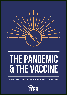

# **THEPANDEMIC & THE VACCINE**

MOVING TOWARD GLOBAL PUBLIC HEALTH

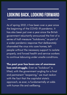#### **LOOKING BACK, LOOKING FORWARD**

As of spring 2021, it has been over a year since the beginning of the COVID-19 pandemic. It has also been just over a year since the British government reluctantly announced the first of a series of half-measure "lockdowns, " as part of a wider pandemic response that deliberately channeled the virus into care homes, left people without the necessary support to isolate properly, and forced health and service workers to continue labouring under unsafe conditions.

The past year has been one of enormous loss and struggle. Even as "lockdown" is lifted, with the government angling for a final and permanent " reopening, " we must reckon with the fact that the capitalist state ' s approach, as ever, is fundamentally at odds with human life and wellbeing.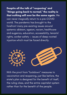Despite all the talk of "reopening" and "things going back to normal," the reality is that nothing will ever be the same again. We can never magically return to a pre-COVID world. The pandemic has brought to the forefront many pre-existing issues around systemic ableism, ageism, racism, healthcare and eugenics, education, accessibility, tenants 'rights, worker safety — issues of deep-rooted injustice which must be faced directly.



With the pivot from "lockdown " measures to vaccination and reopening, just like before, the state ' s plan is designed for the benefit of itself, the ruling class, and the entire capitalist system rather than for the benefit of the people.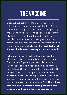## **THE VACCINE**

Evidence suggests that the COVID vaccines are safe and effective at preventing infection. But no vaccine can completely stop transmission (passing the virus to another person), so vaccination cannot eliminate the virus altogether until a majority of people are vaccinated, achieving herd immunity. This takes time under the best of circumstances, and it is even more of a challenge when **distribution of** the vaccine is severely unequal and inequitable.

In Britain, the vaccine rollout has prioritised the elderly and disabled — a futile attempt to distract from the state ' s prior eugenicist policies which intentionally caused mass death in these very same populations. On the other hand, the vaccine is still being withheld from many workers and younger people who are likely (or required) to be attending work and school, as well as other at-risk groups such as the homeless and those without GPs. This allows transmission to continue among unvaccinated populations, keeping the virus spreading.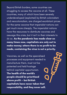Beyond British borders, some countries are struggling to access the vaccine at all. These countries, many of which have been severely underdeveloped (exploited) by British colonialism and neocolonialism, are charged exorbitant prices for the same vaccine that imperialist nations can get much more cheaply. The imperialist nations have the resources to distribute vaccines and assuage this crisis, but it isn 't in their interests to do so. As the pandemic has made clear so many times now, capitalists are only out to make money; where there is no profit to be made, containing the virus is not a priority.

Vaccines, as well as the specialised processes and equipment needed to manufacture them, must not be patented and held hostage behind capitalist opportunism. The health of the world' s people should be prioritised above profit — but British capitalists have never taken that responsibility, and they never will.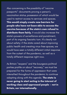Also concerning is the possibility of " vaccine passports " : documents proving a person ' s vaccination status, possession of which would be used to restrict access to services and spaces. This would simply create new barriers for people who have not been able to access the vaccine because of the state 's own refusal to distribute them fairly. It would also increase the state ' s powers of surveillance and punishment, part of its ongoing fascistic turn. It' s clearly not about safety; if the state cared about improving public health and creating virus-free spaces, we would have seen a totally different initial response from the outset of the pandemic, as well as a totally different response right now.

As Britain " reopens " and the bourgeois political parties prattle on about " recovery, " we must be prepared for the forms of oppression that were intensified throughout the pandemic to continue adapting along with this agenda. The state is never going to start acting in the interest of working class and oppressed people — not in Britain, nor internationally.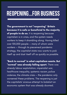### **REOPENING...FOR BUSINESS**

The government is not " reopening " Britain because it is safe or beneficial to the majority of people to do so. It is reopening because capitalism is in crisis, and the system needs workers to keep it shambling along. Having killed over 100,000 people — many of whom were workers — through its piecemeal pandemic strategy, the capitalist state now wants to pick itself up and dust itself off as quickly as possible.

"Back to normal" is what capitalism wants. But " normal" was already falling apart. There was already labour exploitation, imperialist war, healthcare inequality, systemic racism, police violence, the climate crisis — the pandemic only worsened these problems. The reopening is just the capitalists ' anxious attempt to kickstart an economic system that was already doomed.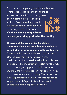That is to say, reopening is not actually about letting people get back to the forms of in-person connection that many have been missing out on for so long. Rather, it' s about getting people out making money and spending money again — in other words, it' s about getting people back



to work generating profits for the wealthy.

Throughout the pandemic, the state ' s restrictions have not been based on what is safe, but on what is economically productive. Family members are not allowed to go to each other ' s houses to help with housework or childcare, but they are allowed to hire a cleaner or a nanny. The first situation is relatively low-risk, but no one is getting paid for it. In the second situation, the risk is higher for everyone involved, but it creates economic activity. The reason the latter is permitted while the former is banned is simple: the state ' s priority is not the health of people, but of the capitalist economy.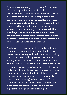So what does reopening actually mean for the health of the working and oppressed classes? Accommodations for remote work and study — which were often denied to disabled people before the pandemic — are now commonplace. However, these measures were implemented not for the sake of health or accessibility, but for the sake of continuing economic activity in any way possible. We will likely soon begin to see attempts to withdraw these accommodations and force workers back into the workplace, removing any autonomy they may have gained over their working conditions.

We should resist these rollbacks on worker autonomy. However, it is important to recognise that the most vulnerable and heavily exploited workers — particularly those in the service industry, such as line cooks and delivery drivers - have never had this autonomy, and have been subjected to the most dangerous conditions throughout the pandemic. Going forward, while some workers may be able to continue with work-from-home arrangements that prioritise their safety, workers in jobs that cannot be done remotely (and which enable others to work remotely) will continue to be forced to accept in-person work and its associated risks. We must act in solidarity with these workers and support their ongoing labour struggles.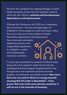We must also recognise the ongoing damage to public health caused by certain forms of capitalist violence which are rife in Britain: evictions and homelessness, deportations, and imprisonment.

Although the Coronavirus Act 2020 put a temporary ban on evictions, it will soon be legal again for landlords to throw people out onto the streets, where the virus is only one of many threats to health. Meanwhile, deportations and detainments

have continued unchecked, subjecting society ' s most marginalised populations to unhygienic, unsafe, and fundamentally inhumane conditions.



It cannot be overstated how severely the British state, along with other capitalist states like the US, has exacerbated and prolonged this global health crisis through racist and imperialist policies of private property, criminalisation and border control. Now more than ever, we need to direct our energy towards ensuring that this state is dismantled — it has proven that even in the most extreme scenarios, it will not act in the interests of humanity.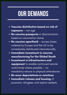# **OUR DEMANDS**

- Vaccine distribution based on risk of exposure — not age
- . No vaccine passports or discrimination based on vaccination status
- No vaccine apartheid excess doses ordered by Europe and the US to be immediately distributed internationally
- **Immediate investment in vaccine** manufacturing for the Global South
- **Investment in infrastructure and** equipment to enable continued remote work/study where possible — no mandatory returns to physical attendance
- No more deportations or evictions
- Immediate release and housing of  $\bullet$ prisoners, refugees, and asylum seekers